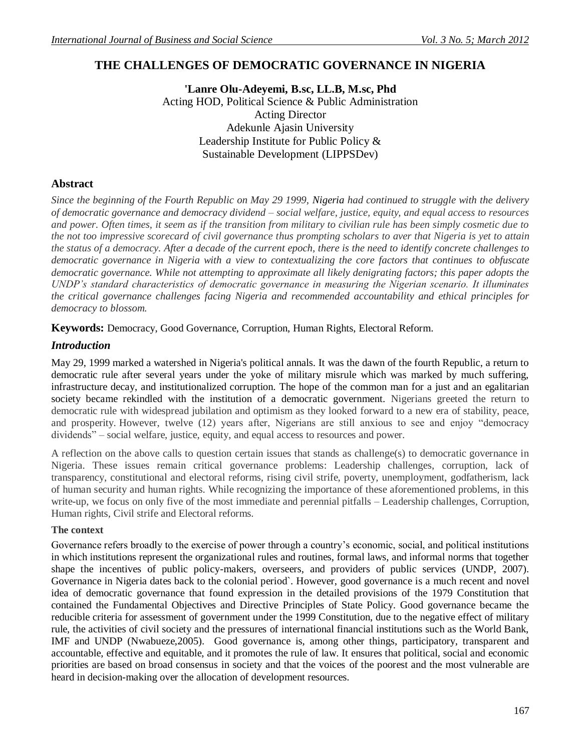# **THE CHALLENGES OF DEMOCRATIC GOVERNANCE IN NIGERIA**

**'Lanre Olu-Adeyemi, B.sc, LL.B, M.sc, Phd** Acting HOD, Political Science & Public Administration Acting Director Adekunle Ajasin University Leadership Institute for Public Policy & Sustainable Development (LIPPSDev)

# **Abstract**

*Since the beginning of the Fourth Republic on May 29 1999, Nigeria had continued to struggle with the delivery of democratic governance and democracy dividend – social welfare, justice, equity, and equal access to resources and power. Often times, it seem as if the transition from military to civilian rule has been simply cosmetic due to the not too impressive scorecard of civil governance thus prompting scholars to aver that Nigeria is yet to attain the status of a democracy. After a decade of the current epoch, there is the need to identify concrete challenges to democratic governance in Nigeria with a view to contextualizing the core factors that continues to obfuscate democratic governance. While not attempting to approximate all likely denigrating factors; this paper adopts the UNDP's standard characteristics of democratic governance in measuring the Nigerian scenario. It illuminates the critical governance challenges facing Nigeria and recommended accountability and ethical principles for democracy to blossom.*

**Keywords:** Democracy, Good Governance, Corruption, Human Rights, Electoral Reform.

## *Introduction*

May 29, 1999 marked a watershed in Nigeria's political annals. It was the dawn of the fourth Republic, a return to democratic rule after several years under the yoke of military misrule which was marked by much suffering, infrastructure decay, and institutionalized corruption. The hope of the common man for a just and an egalitarian society became rekindled with the institution of a democratic government. Nigerians greeted the return to democratic rule with widespread jubilation and optimism as they looked forward to a new era of stability, peace, and prosperity. However, twelve (12) years after, Nigerians are still anxious to see and enjoy "democracy dividends" – social welfare, justice, equity, and equal access to resources and power.

A reflection on the above calls to question certain issues that stands as challenge(s) to democratic governance in Nigeria. These issues remain critical governance problems: Leadership challenges, corruption, lack of transparency, constitutional and electoral reforms, rising civil strife, poverty, unemployment, godfatherism, lack of human security and human rights. While recognizing the importance of these aforementioned problems, in this write-up, we focus on only five of the most immediate and perennial pitfalls – Leadership challenges, Corruption, Human rights, Civil strife and Electoral reforms.

## **The context**

Governance refers broadly to the exercise of power through a country"s economic, social, and political institutions in which institutions represent the organizational rules and routines, formal laws, and informal norms that together shape the incentives of public policy-makers, overseers, and providers of public services (UNDP, 2007). Governance in Nigeria dates back to the colonial period`. However, good governance is a much recent and novel idea of democratic governance that found expression in the detailed provisions of the 1979 Constitution that contained the Fundamental Objectives and Directive Principles of State Policy. Good governance became the reducible criteria for assessment of government under the 1999 Constitution, due to the negative effect of military rule, the activities of civil society and the pressures of international financial institutions such as the World Bank, IMF and UNDP (Nwabueze,2005). Good governance is, among other things, participatory, transparent and accountable, effective and equitable, and it promotes the rule of law. It ensures that political, social and economic priorities are based on broad consensus in society and that the voices of the poorest and the most vulnerable are heard in decision-making over the allocation of development resources.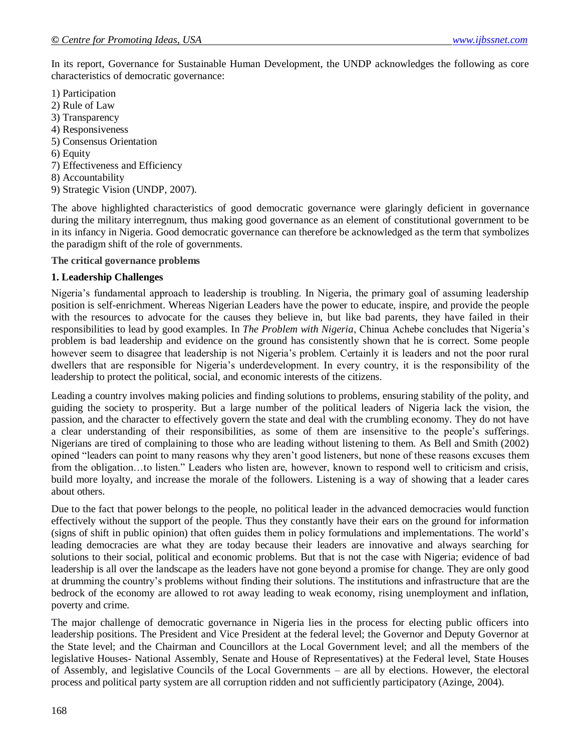In its report, Governance for Sustainable Human Development, the UNDP acknowledges the following as core characteristics of democratic governance:

- 1) Participation
- 2) Rule of Law
- 3) Transparency
- 4) Responsiveness
- 5) Consensus Orientation
- 6) Equity
- 7) Effectiveness and Efficiency
- 8) Accountability
- 9) Strategic Vision (UNDP, 2007).

The above highlighted characteristics of good democratic governance were glaringly deficient in governance during the military interregnum, thus making good governance as an element of constitutional government to be in its infancy in Nigeria. Good democratic governance can therefore be acknowledged as the term that symbolizes the paradigm shift of the role of governments.

**The critical governance problems**

#### **1. Leadership Challenges**

Nigeria"s fundamental approach to leadership is troubling. In Nigeria, the primary goal of assuming leadership position is self-enrichment. Whereas Nigerian Leaders have the power to educate, inspire, and provide the people with the resources to advocate for the causes they believe in, but like bad parents, they have failed in their responsibilities to lead by good examples. In *The Problem with Nigeria*, Chinua Achebe concludes that Nigeria"s problem is bad leadership and evidence on the ground has consistently shown that he is correct. Some people however seem to disagree that leadership is not Nigeria's problem. Certainly it is leaders and not the poor rural dwellers that are responsible for Nigeria"s underdevelopment. In every country, it is the responsibility of the leadership to protect the political, social, and economic interests of the citizens.

Leading a country involves making policies and finding solutions to problems, ensuring stability of the polity, and guiding the society to prosperity. But a large number of the political leaders of Nigeria lack the vision, the passion, and the character to effectively govern the state and deal with the crumbling economy. They do not have a clear understanding of their responsibilities, as some of them are insensitive to the people"s sufferings. Nigerians are tired of complaining to those who are leading without listening to them. As Bell and Smith (2002) opined "leaders can point to many reasons why they aren"t good listeners, but none of these reasons excuses them from the obligation...to listen." Leaders who listen are, however, known to respond well to criticism and crisis, build more loyalty, and increase the morale of the followers. Listening is a way of showing that a leader cares about others.

Due to the fact that power belongs to the people, no political leader in the advanced democracies would function effectively without the support of the people. Thus they constantly have their ears on the ground for information (signs of shift in public opinion) that often guides them in policy formulations and implementations. The world"s leading democracies are what they are today because their leaders are innovative and always searching for solutions to their social, political and economic problems. But that is not the case with Nigeria; evidence of bad leadership is all over the landscape as the leaders have not gone beyond a promise for change. They are only good at drumming the country"s problems without finding their solutions. The institutions and infrastructure that are the bedrock of the economy are allowed to rot away leading to weak economy, rising unemployment and inflation, poverty and crime.

The major challenge of democratic governance in Nigeria lies in the process for electing public officers into leadership positions. The President and Vice President at the federal level; the Governor and Deputy Governor at the State level; and the Chairman and Councillors at the Local Government level; and all the members of the legislative Houses- National Assembly, Senate and House of Representatives) at the Federal level, State Houses of Assembly, and legislative Councils of the Local Governments – are all by elections. However, the electoral process and political party system are all corruption ridden and not sufficiently participatory (Azinge, 2004).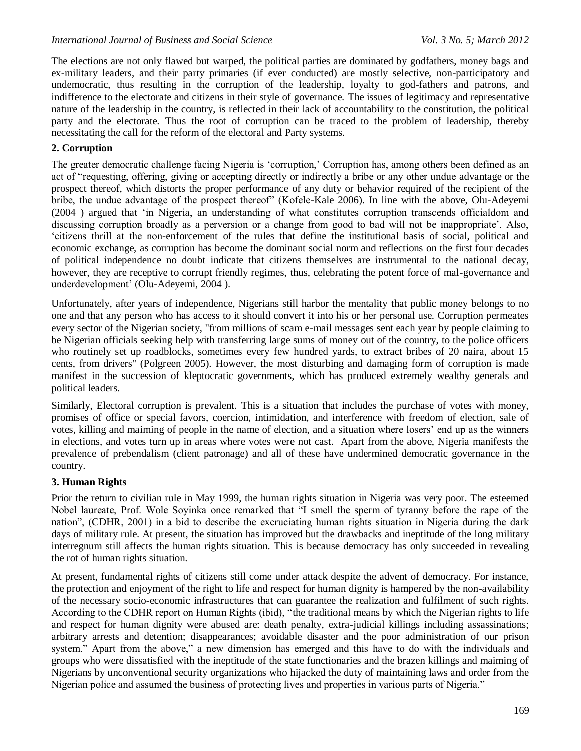The elections are not only flawed but warped, the political parties are dominated by godfathers, money bags and ex-military leaders, and their party primaries (if ever conducted) are mostly selective, non-participatory and undemocratic, thus resulting in the corruption of the leadership, loyalty to god-fathers and patrons, and indifference to the electorate and citizens in their style of governance. The issues of legitimacy and representative nature of the leadership in the country, is reflected in their lack of accountability to the constitution, the political party and the electorate. Thus the root of corruption can be traced to the problem of leadership, thereby necessitating the call for the reform of the electoral and Party systems.

# **2. Corruption**

The greater democratic challenge facing Nigeria is "corruption," Corruption has, among others been defined as an act of "requesting, offering, giving or accepting directly or indirectly a bribe or any other undue advantage or the prospect thereof, which distorts the proper performance of any duty or behavior required of the recipient of the bribe, the undue advantage of the prospect thereof" (Kofele-Kale 2006). In line with the above, Olu-Adeyemi (2004 ) argued that "in Nigeria, an understanding of what constitutes corruption transcends officialdom and discussing corruption broadly as a perversion or a change from good to bad will not be inappropriate'. Also, "citizens thrill at the non-enforcement of the rules that define the institutional basis of social, political and economic exchange, as corruption has become the dominant social norm and reflections on the first four decades of political independence no doubt indicate that citizens themselves are instrumental to the national decay, however, they are receptive to corrupt friendly regimes, thus, celebrating the potent force of mal-governance and underdevelopment" (Olu-Adeyemi, 2004 ).

Unfortunately, after years of independence, Nigerians still harbor the mentality that public money belongs to no one and that any person who has access to it should convert it into his or her personal use. Corruption permeates every sector of the Nigerian society, "from millions of scam e-mail messages sent each year by people claiming to be Nigerian officials seeking help with transferring large sums of money out of the country, to the police officers who routinely set up roadblocks, sometimes every few hundred yards, to extract bribes of 20 naira, about 15 cents, from drivers" (Polgreen 2005). However, the most disturbing and damaging form of corruption is made manifest in the succession of kleptocratic governments, which has produced extremely wealthy generals and political leaders.

Similarly, Electoral corruption is prevalent. This is a situation that includes the purchase of votes with money, promises of office or special favors, coercion, intimidation, and interference with freedom of election, sale of votes, killing and maiming of people in the name of election, and a situation where losers" end up as the winners in elections, and votes turn up in areas where votes were not cast. Apart from the above, Nigeria manifests the prevalence of prebendalism (client patronage) and all of these have undermined democratic governance in the country.

## **3. Human Rights**

Prior the return to civilian rule in May 1999, the human rights situation in Nigeria was very poor. The esteemed Nobel laureate, Prof. Wole Soyinka once remarked that "I smell the sperm of tyranny before the rape of the nation", (CDHR, 2001) in a bid to describe the excruciating human rights situation in Nigeria during the dark days of military rule. At present, the situation has improved but the drawbacks and ineptitude of the long military interregnum still affects the human rights situation. This is because democracy has only succeeded in revealing the rot of human rights situation.

At present, fundamental rights of citizens still come under attack despite the advent of democracy. For instance, the protection and enjoyment of the right to life and respect for human dignity is hampered by the non-availability of the necessary socio-economic infrastructures that can guarantee the realization and fulfilment of such rights. According to the CDHR report on Human Rights (ibid), "the traditional means by which the Nigerian rights to life and respect for human dignity were abused are: death penalty, extra-judicial killings including assassinations; arbitrary arrests and detention; disappearances; avoidable disaster and the poor administration of our prison system." Apart from the above," a new dimension has emerged and this have to do with the individuals and groups who were dissatisfied with the ineptitude of the state functionaries and the brazen killings and maiming of Nigerians by unconventional security organizations who hijacked the duty of maintaining laws and order from the Nigerian police and assumed the business of protecting lives and properties in various parts of Nigeria."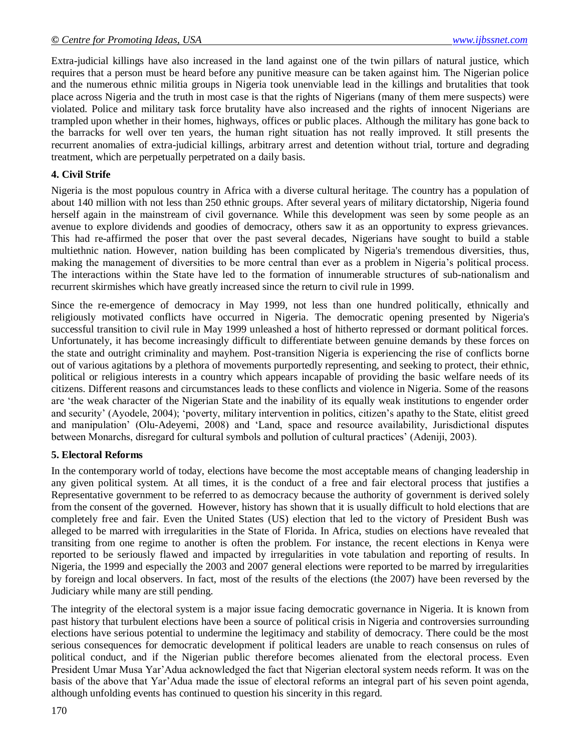Extra-judicial killings have also increased in the land against one of the twin pillars of natural justice, which requires that a person must be heard before any punitive measure can be taken against him. The Nigerian police and the numerous ethnic militia groups in Nigeria took unenviable lead in the killings and brutalities that took place across Nigeria and the truth in most case is that the rights of Nigerians (many of them mere suspects) were violated. Police and military task force brutality have also increased and the rights of innocent Nigerians are trampled upon whether in their homes, highways, offices or public places. Although the military has gone back to the barracks for well over ten years, the human right situation has not really improved. It still presents the recurrent anomalies of extra-judicial killings, arbitrary arrest and detention without trial, torture and degrading treatment, which are perpetually perpetrated on a daily basis.

# **4. Civil Strife**

Nigeria is the most populous country in Africa with a diverse cultural heritage. The country has a population of about 140 million with not less than 250 ethnic groups. After several years of military dictatorship, Nigeria found herself again in the mainstream of civil governance. While this development was seen by some people as an avenue to explore dividends and goodies of democracy, others saw it as an opportunity to express grievances. This had re-affirmed the poser that over the past several decades, Nigerians have sought to build a stable multiethnic nation. However, nation building has been complicated by Nigeria's tremendous diversities, thus, making the management of diversities to be more central than ever as a problem in Nigeria"s political process. The interactions within the State have led to the formation of innumerable structures of sub-nationalism and recurrent skirmishes which have greatly increased since the return to civil rule in 1999.

Since the re-emergence of democracy in May 1999, not less than one hundred politically, ethnically and religiously motivated conflicts have occurred in Nigeria. The democratic opening presented by Nigeria's successful transition to civil rule in May 1999 unleashed a host of hitherto repressed or dormant political forces. Unfortunately, it has become increasingly difficult to differentiate between genuine demands by these forces on the state and outright criminality and mayhem. Post-transition Nigeria is experiencing the rise of conflicts borne out of various agitations by a plethora of movements purportedly representing, and seeking to protect, their ethnic, political or religious interests in a country which appears incapable of providing the basic welfare needs of its citizens. Different reasons and circumstances leads to these conflicts and violence in Nigeria. Some of the reasons are "the weak character of the Nigerian State and the inability of its equally weak institutions to engender order and security" (Ayodele, 2004); "poverty, military intervention in politics, citizen"s apathy to the State, elitist greed and manipulation" (Olu-Adeyemi, 2008) and "Land, space and resource availability, Jurisdictional disputes between Monarchs, disregard for cultural symbols and pollution of cultural practices" (Adeniji, 2003).

## **5. Electoral Reforms**

In the contemporary world of today, elections have become the most acceptable means of changing leadership in any given political system. At all times, it is the conduct of a free and fair electoral process that justifies a Representative government to be referred to as democracy because the authority of government is derived solely from the consent of the governed. However, history has shown that it is usually difficult to hold elections that are completely free and fair. Even the United States (US) election that led to the victory of President Bush was alleged to be marred with irregularities in the State of Florida. In Africa, studies on elections have revealed that transiting from one regime to another is often the problem. For instance, the recent elections in Kenya were reported to be seriously flawed and impacted by irregularities in vote tabulation and reporting of results. In Nigeria, the 1999 and especially the 2003 and 2007 general elections were reported to be marred by irregularities by foreign and local observers. In fact, most of the results of the elections (the 2007) have been reversed by the Judiciary while many are still pending.

The integrity of the electoral system is a major issue facing democratic governance in Nigeria. It is known from past history that turbulent elections have been a source of political crisis in Nigeria and controversies surrounding elections have serious potential to undermine the legitimacy and stability of democracy. There could be the most serious consequences for democratic development if political leaders are unable to reach consensus on rules of political conduct, and if the Nigerian public therefore becomes alienated from the electoral process. Even President Umar Musa Yar"Adua acknowledged the fact that Nigerian electoral system needs reform. It was on the basis of the above that Yar"Adua made the issue of electoral reforms an integral part of his seven point agenda, although unfolding events has continued to question his sincerity in this regard.